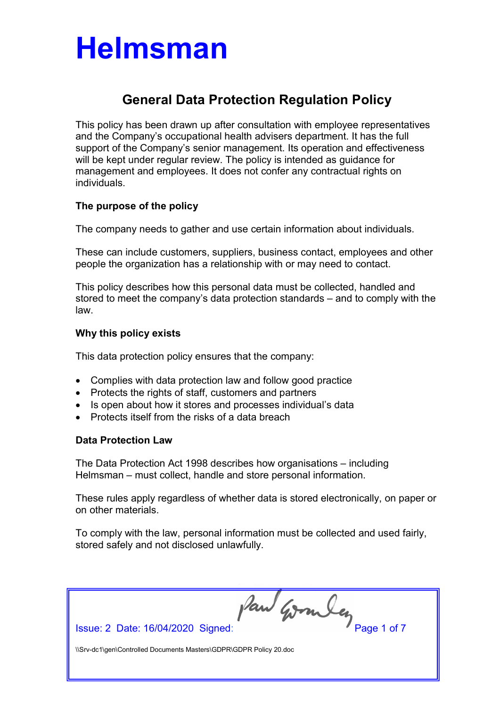### General Data Protection Regulation Policy

This policy has been drawn up after consultation with employee representatives and the Company's occupational health advisers department. It has the full support of the Company's senior management. Its operation and effectiveness will be kept under regular review. The policy is intended as guidance for management and employees. It does not confer any contractual rights on individuals.

### The purpose of the policy

The company needs to gather and use certain information about individuals.

These can include customers, suppliers, business contact, employees and other people the organization has a relationship with or may need to contact.

This policy describes how this personal data must be collected, handled and stored to meet the company's data protection standards – and to comply with the law.

### Why this policy exists

This data protection policy ensures that the company:

- Complies with data protection law and follow good practice
- Protects the rights of staff, customers and partners
- Is open about how it stores and processes individual's data
- Protects itself from the risks of a data breach

#### Data Protection Law

The Data Protection Act 1998 describes how organisations – including Helmsman – must collect, handle and store personal information.

These rules apply regardless of whether data is stored electronically, on paper or on other materials.

To comply with the law, personal information must be collected and used fairly, stored safely and not disclosed unlawfully.

Issue: 2 Date: 16/04/2020 Signed: Paul Gombey Page 1 of 7 \\Srv-dc1\gen\Controlled Documents Masters\GDPR\GDPR Policy 20.doc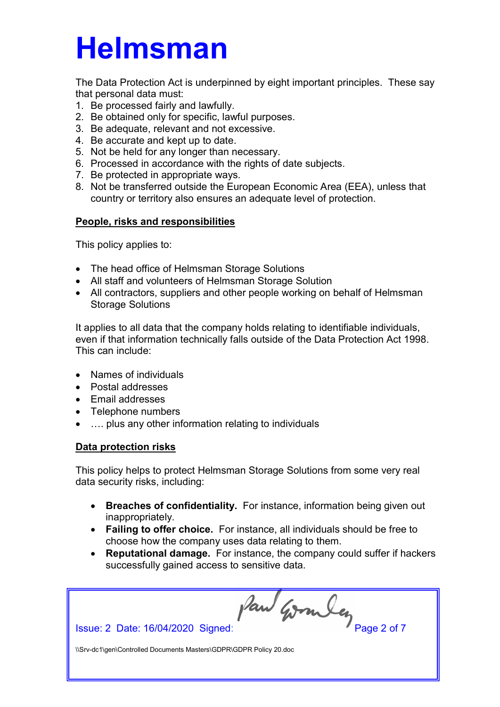The Data Protection Act is underpinned by eight important principles. These say that personal data must:

- 1. Be processed fairly and lawfully.
- 2. Be obtained only for specific, lawful purposes.
- 3. Be adequate, relevant and not excessive.
- 4. Be accurate and kept up to date.
- 5. Not be held for any longer than necessary.
- 6. Processed in accordance with the rights of date subjects.
- 7. Be protected in appropriate ways.
- 8. Not be transferred outside the European Economic Area (EEA), unless that country or territory also ensures an adequate level of protection.

### People, risks and responsibilities

This policy applies to:

- The head office of Helmsman Storage Solutions
- All staff and volunteers of Helmsman Storage Solution
- All contractors, suppliers and other people working on behalf of Helmsman Storage Solutions

It applies to all data that the company holds relating to identifiable individuals, even if that information technically falls outside of the Data Protection Act 1998. This can include:

- Names of individuals
- Postal addresses
- Fmail addresses
- Telephone numbers
- …. plus any other information relating to individuals

### Data protection risks

This policy helps to protect Helmsman Storage Solutions from some very real data security risks, including:

- Breaches of confidentiality. For instance, information being given out inappropriately.
- Failing to offer choice. For instance, all individuals should be free to choose how the company uses data relating to them.
- Reputational damage. For instance, the company could suffer if hackers successfully gained access to sensitive data.

Issue: 2 Date: 16/04/2020 Signed: Paul Granuley Page 2 of 7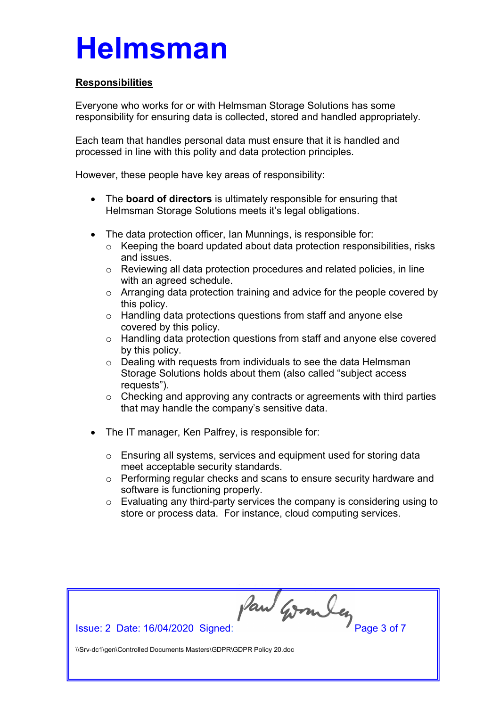### **Responsibilities**

Everyone who works for or with Helmsman Storage Solutions has some responsibility for ensuring data is collected, stored and handled appropriately.

Each team that handles personal data must ensure that it is handled and processed in line with this polity and data protection principles.

However, these people have key areas of responsibility:

- The board of directors is ultimately responsible for ensuring that Helmsman Storage Solutions meets it's legal obligations.
- The data protection officer, Ian Munnings, is responsible for:
	- o Keeping the board updated about data protection responsibilities, risks and issues.
	- o Reviewing all data protection procedures and related policies, in line with an agreed schedule.
	- o Arranging data protection training and advice for the people covered by this policy.
	- o Handling data protections questions from staff and anyone else covered by this policy.
	- o Handling data protection questions from staff and anyone else covered by this policy.
	- o Dealing with requests from individuals to see the data Helmsman Storage Solutions holds about them (also called "subject access requests").
	- $\circ$  Checking and approving any contracts or agreements with third parties that may handle the company's sensitive data.
- The IT manager, Ken Palfrey, is responsible for:
	- o Ensuring all systems, services and equipment used for storing data meet acceptable security standards.
	- o Performing regular checks and scans to ensure security hardware and software is functioning properly.
	- o Evaluating any third-party services the company is considering using to store or process data. For instance, cloud computing services.

Issue: 2 Date: 16/04/2020 Signed: Paul Gombey Page 3 of 7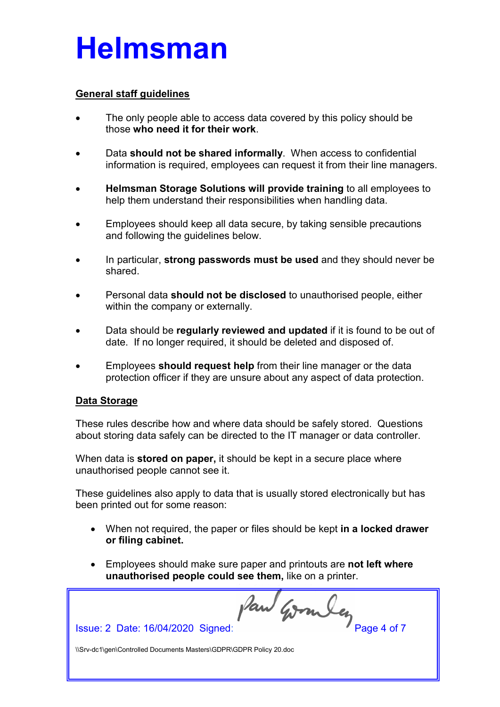#### General staff guidelines

- The only people able to access data covered by this policy should be those who need it for their work.
- Data should not be shared informally. When access to confidential information is required, employees can request it from their line managers.
- Helmsman Storage Solutions will provide training to all employees to help them understand their responsibilities when handling data.
- Employees should keep all data secure, by taking sensible precautions and following the guidelines below.
- In particular, strong passwords must be used and they should never be shared.
- Personal data should not be disclosed to unauthorised people, either within the company or externally.
- Data should be regularly reviewed and updated if it is found to be out of date. If no longer required, it should be deleted and disposed of.
- Employees should request help from their line manager or the data protection officer if they are unsure about any aspect of data protection.

#### Data Storage

These rules describe how and where data should be safely stored. Questions about storing data safely can be directed to the IT manager or data controller.

When data is **stored on paper**, it should be kept in a secure place where unauthorised people cannot see it.

These guidelines also apply to data that is usually stored electronically but has been printed out for some reason:

- When not required, the paper or files should be kept in a locked drawer or filing cabinet.
- Employees should make sure paper and printouts are not left where unauthorised people could see them, like on a printer.

Issue: 2 Date: 16/04/2020 Signed: Paul Gombes Page 4 of 7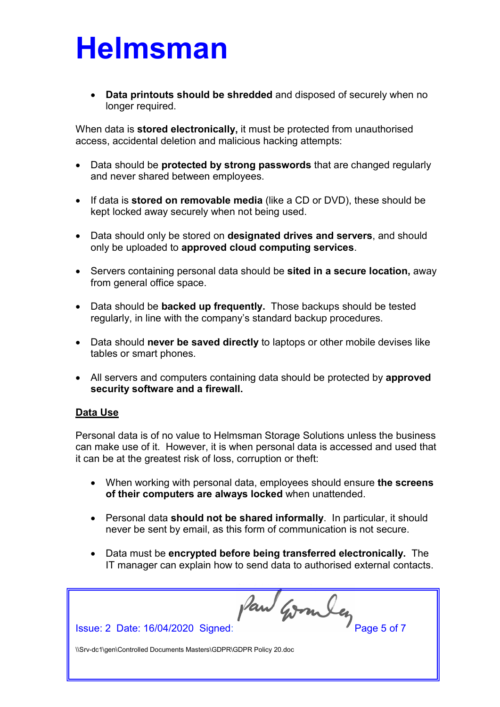Data printouts should be shredded and disposed of securely when no longer required.

When data is stored electronically, it must be protected from unauthorised access, accidental deletion and malicious hacking attempts:

- Data should be **protected by strong passwords** that are changed regularly and never shared between employees.
- If data is **stored on removable media** (like a CD or DVD), these should be kept locked away securely when not being used.
- Data should only be stored on designated drives and servers, and should only be uploaded to approved cloud computing services.
- Servers containing personal data should be sited in a secure location, away from general office space.
- Data should be **backed up frequently**. Those backups should be tested regularly, in line with the company's standard backup procedures.
- Data should never be saved directly to laptops or other mobile devises like tables or smart phones.
- All servers and computers containing data should be protected by approved security software and a firewall.

#### Data Use

Personal data is of no value to Helmsman Storage Solutions unless the business can make use of it. However, it is when personal data is accessed and used that it can be at the greatest risk of loss, corruption or theft:

- When working with personal data, employees should ensure the screens of their computers are always locked when unattended.
- Personal data should not be shared informally. In particular, it should never be sent by email, as this form of communication is not secure.
- Data must be encrypted before being transferred electronically. The IT manager can explain how to send data to authorised external contacts.

Issue: 2 Date: 16/04/2020 Signed: Paul Gombes Page 5 of 7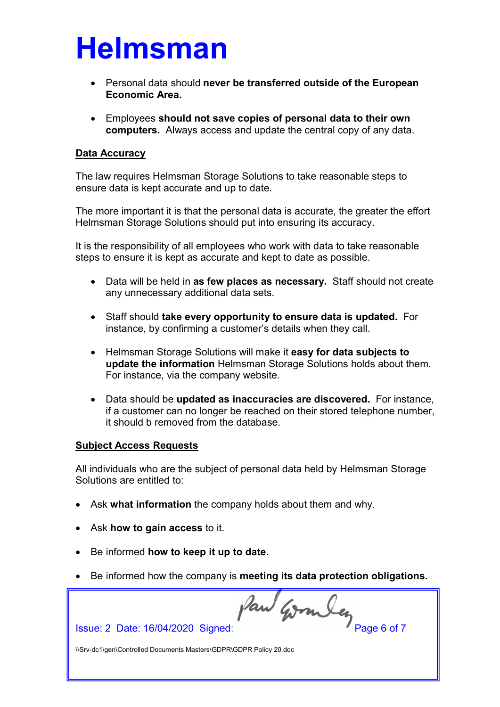- Personal data should never be transferred outside of the European Economic Area.
- Employees should not save copies of personal data to their own computers. Always access and update the central copy of any data.

#### Data Accuracy

The law requires Helmsman Storage Solutions to take reasonable steps to ensure data is kept accurate and up to date.

The more important it is that the personal data is accurate, the greater the effort Helmsman Storage Solutions should put into ensuring its accuracy.

It is the responsibility of all employees who work with data to take reasonable steps to ensure it is kept as accurate and kept to date as possible.

- Data will be held in as few places as necessary. Staff should not create any unnecessary additional data sets.
- Staff should take every opportunity to ensure data is updated. For instance, by confirming a customer's details when they call.
- Helmsman Storage Solutions will make it easy for data subjects to update the information Helmsman Storage Solutions holds about them. For instance, via the company website.
- Data should be updated as inaccuracies are discovered. For instance, if a customer can no longer be reached on their stored telephone number, it should b removed from the database.

#### Subject Access Requests

All individuals who are the subject of personal data held by Helmsman Storage Solutions are entitled to:

- Ask what information the company holds about them and why.
- Ask how to gain access to it.
- Be informed how to keep it up to date.
- Be informed how the company is meeting its data protection obligations.

Issue: 2 Date: 16/04/2020 Signed: Paul Gombey Page 6 of 7